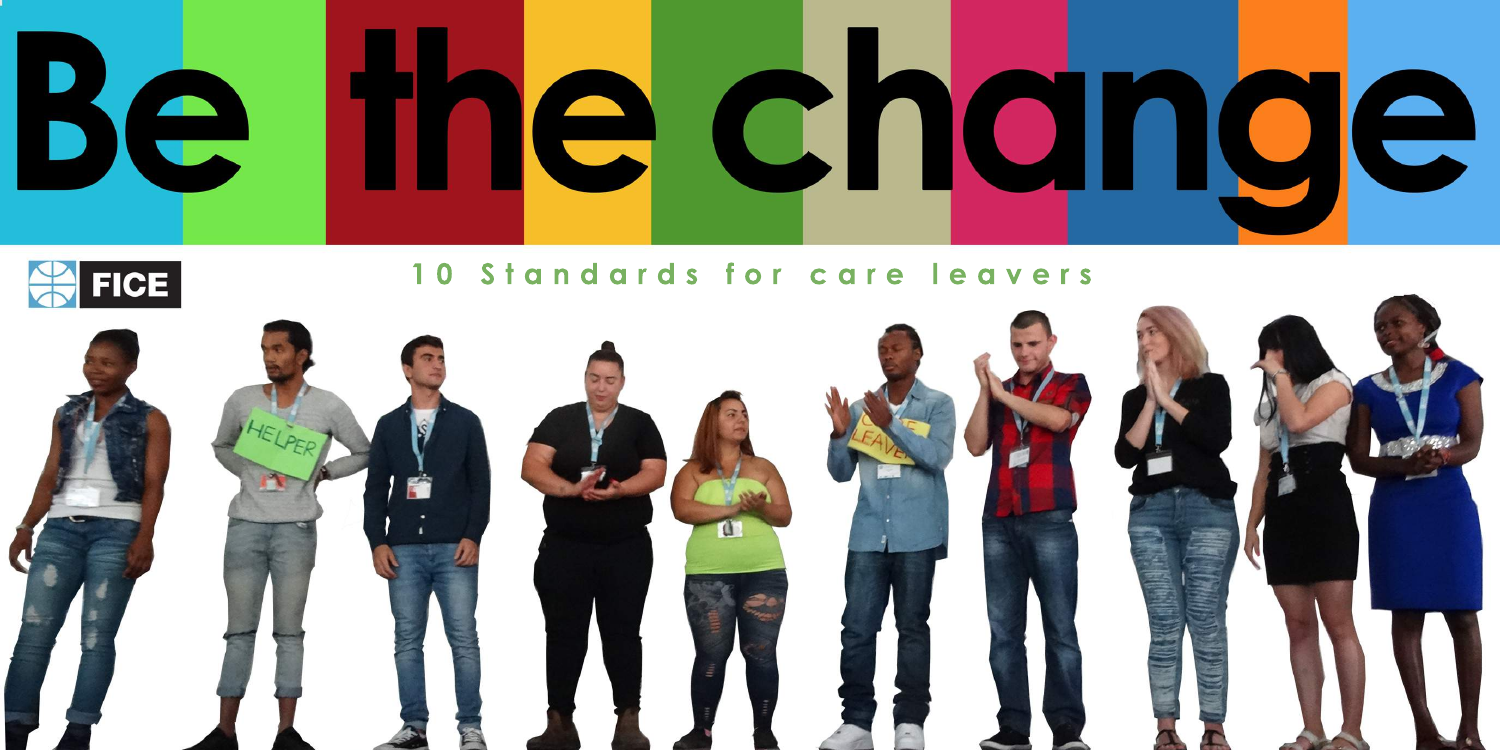



# **Standards for care leavers**

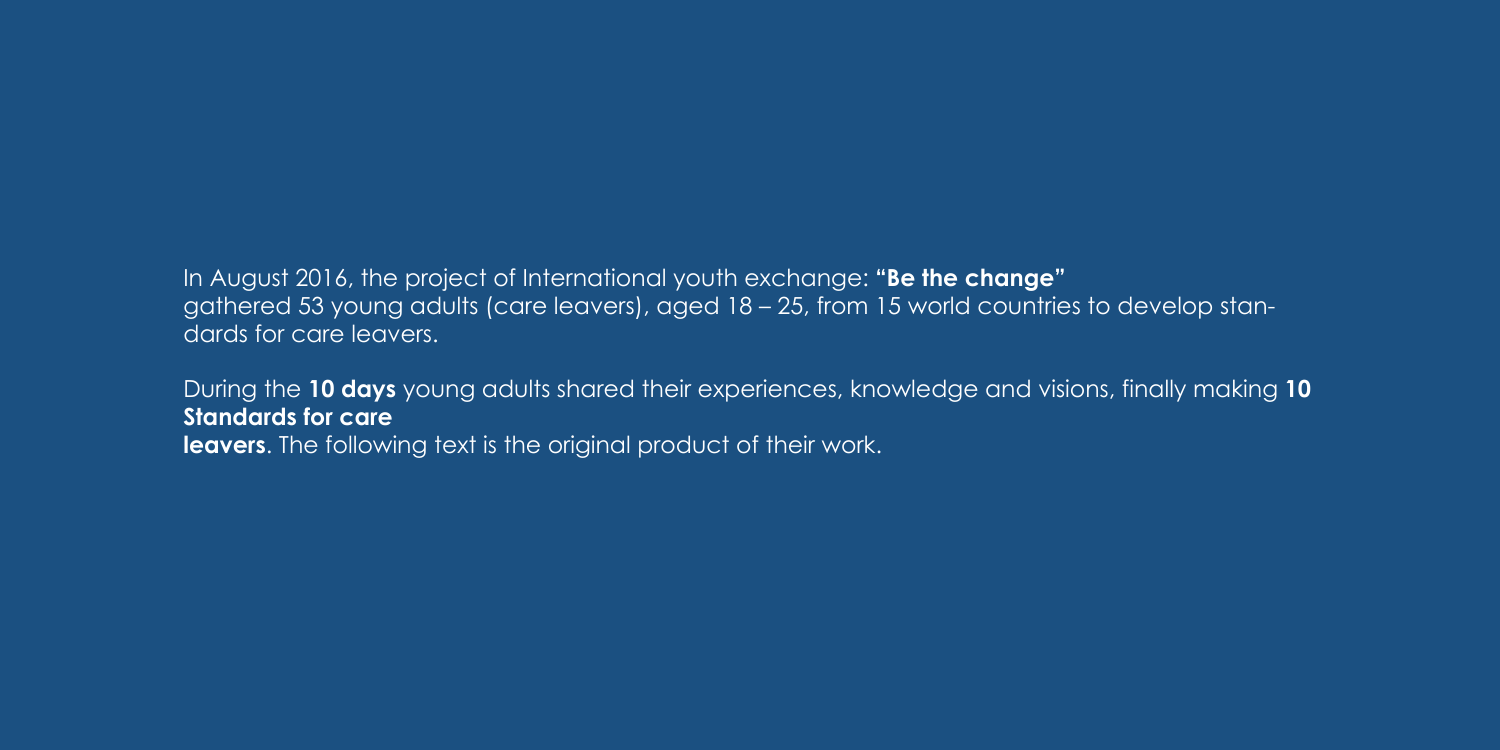In August 2016, the project of International youth exchange: **"Be the change"** gathered 53 young adults (care leavers), aged 18 – 25, from 15 world countries to develop standards for care leavers.

During the **10 days** young adults shared their experiences, knowledge and visions, finally making **10 Standards for care leavers**. The following text is the original product of their work.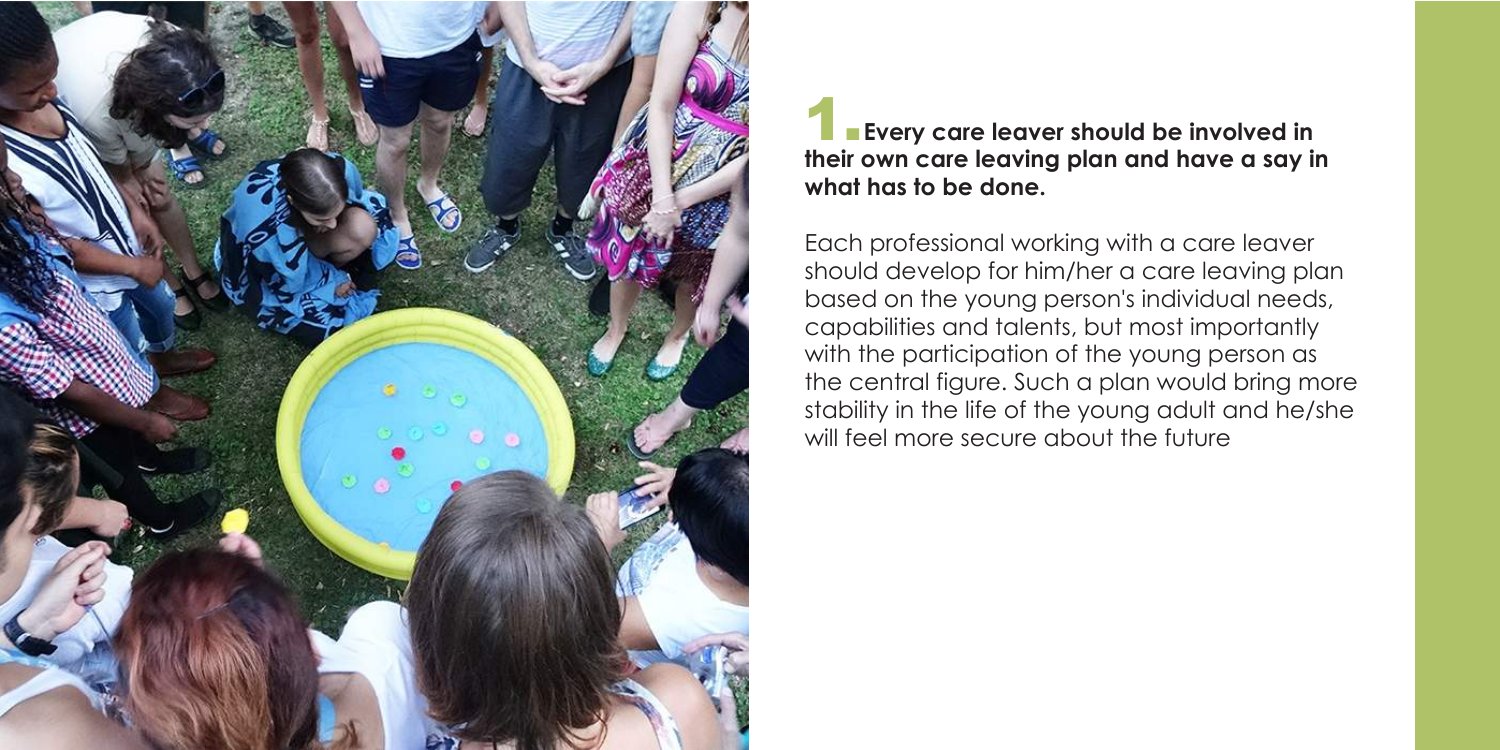

### **Every care leaver should be involved in their own care leaving plan and have a say in what has to be done.**

Each professional working with a care leaver should develop for him/her a care leaving plan based on the young person's individual needs, capabilities and talents, but most importantly with the participation of the young person as the central figure. Such a plan would bring more stability in the life of the young adult and he/she will feel more secure about the future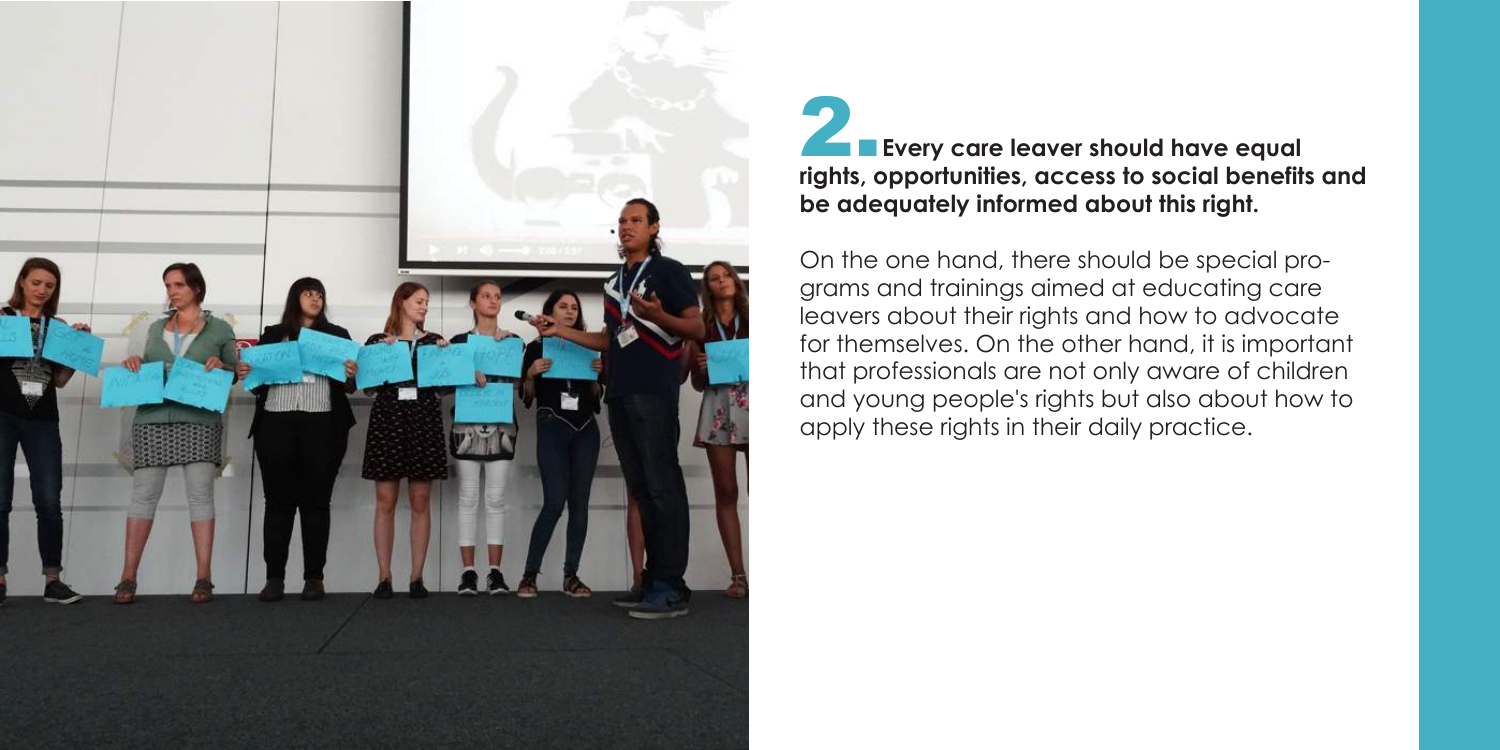

## **Every care leaver should have equal rights, opportunities, access to social benefits and be adequately informed about this right.**

On the one hand, there should be special programs and trainings aimed at educating care leavers about their rights and how to advocate for themselves. On the other hand, it is important that professionals are not only aware of children and young people's rights but also about how to apply these rights in their daily practice.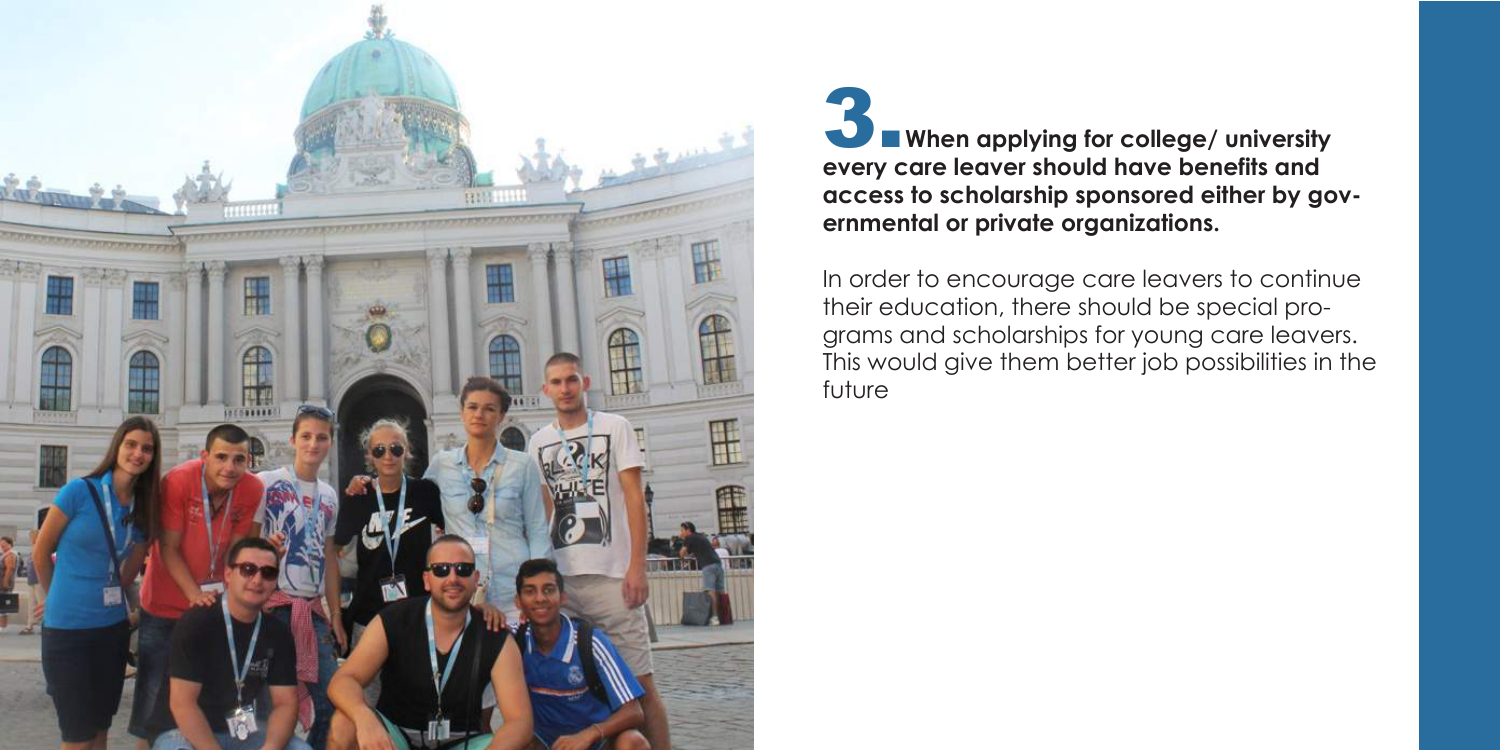**When applying for college/ university every care leaver should have benefits and access to scholarship sponsored either by governmental or private organizations.** 





In order to encourage care leavers to continue their education, there should be special programs and scholarships for young care leavers. This would give them better job possibilities in the future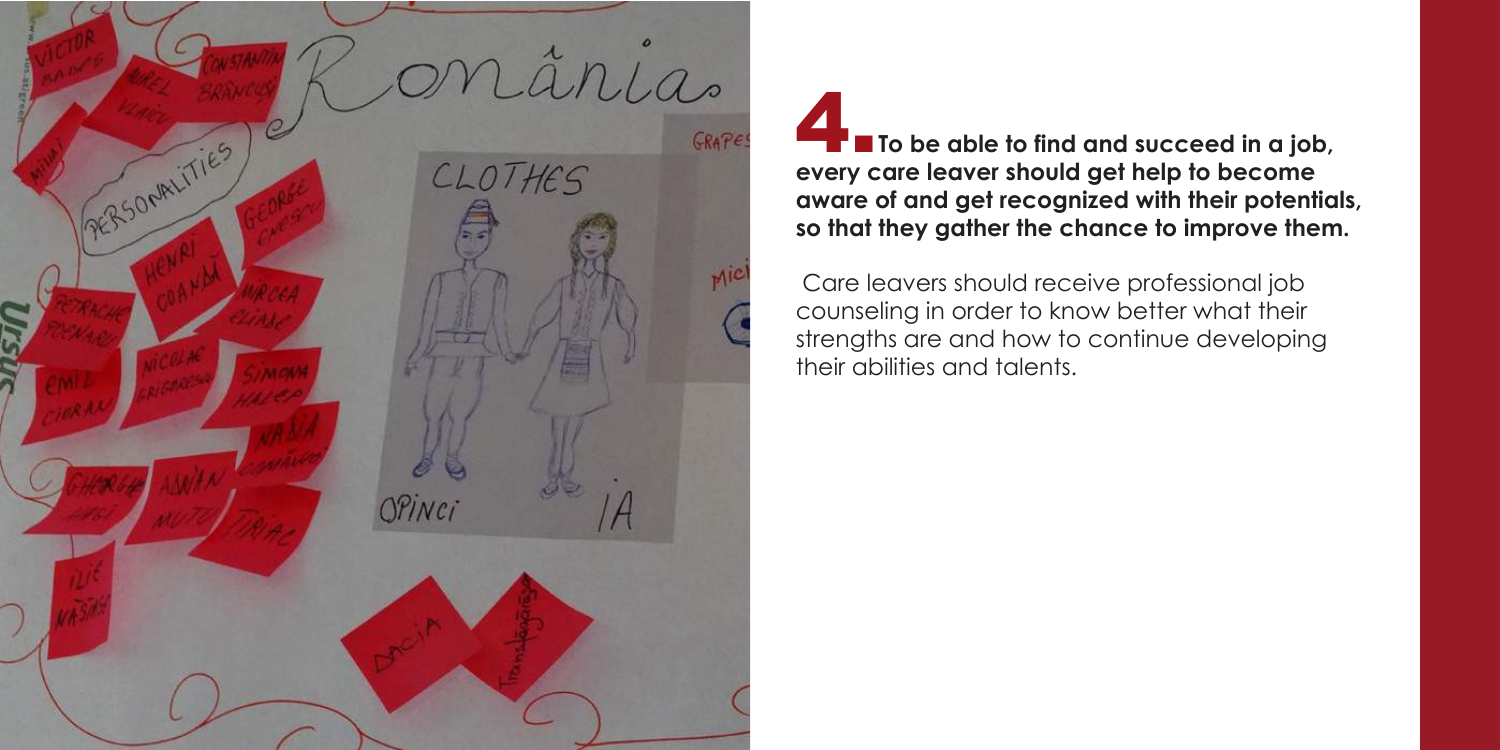

## **F T** To be able to find and succeed in a job, **every care leaver should get help to become aware of and get recognized with their potentials, so that they gather the chance to improve them.**

 Care leavers should receive professional job counseling in order to know better what their strengths are and how to continue developing their abilities and talents.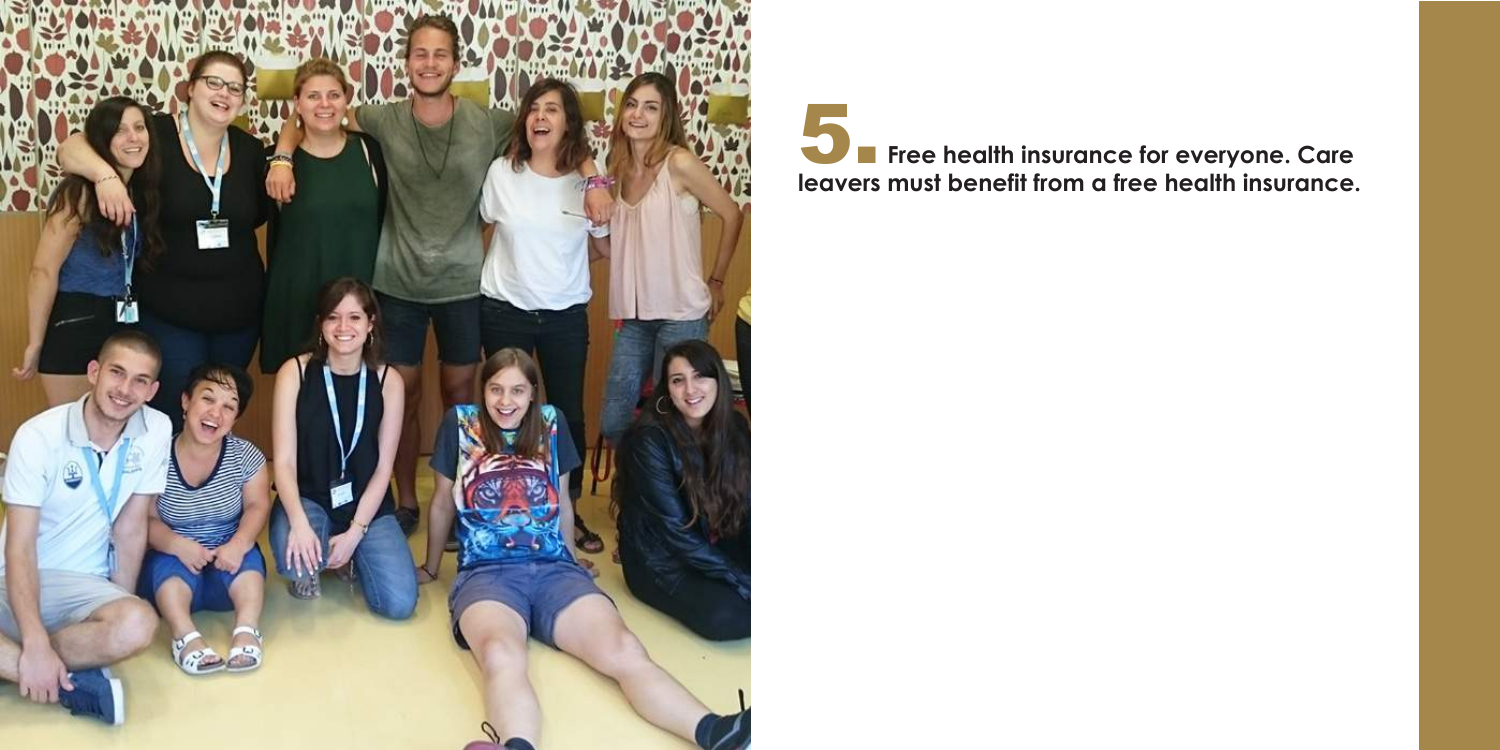

# **13. Free health insurance for everyone. Care leavers must benefit from a free health insurance.**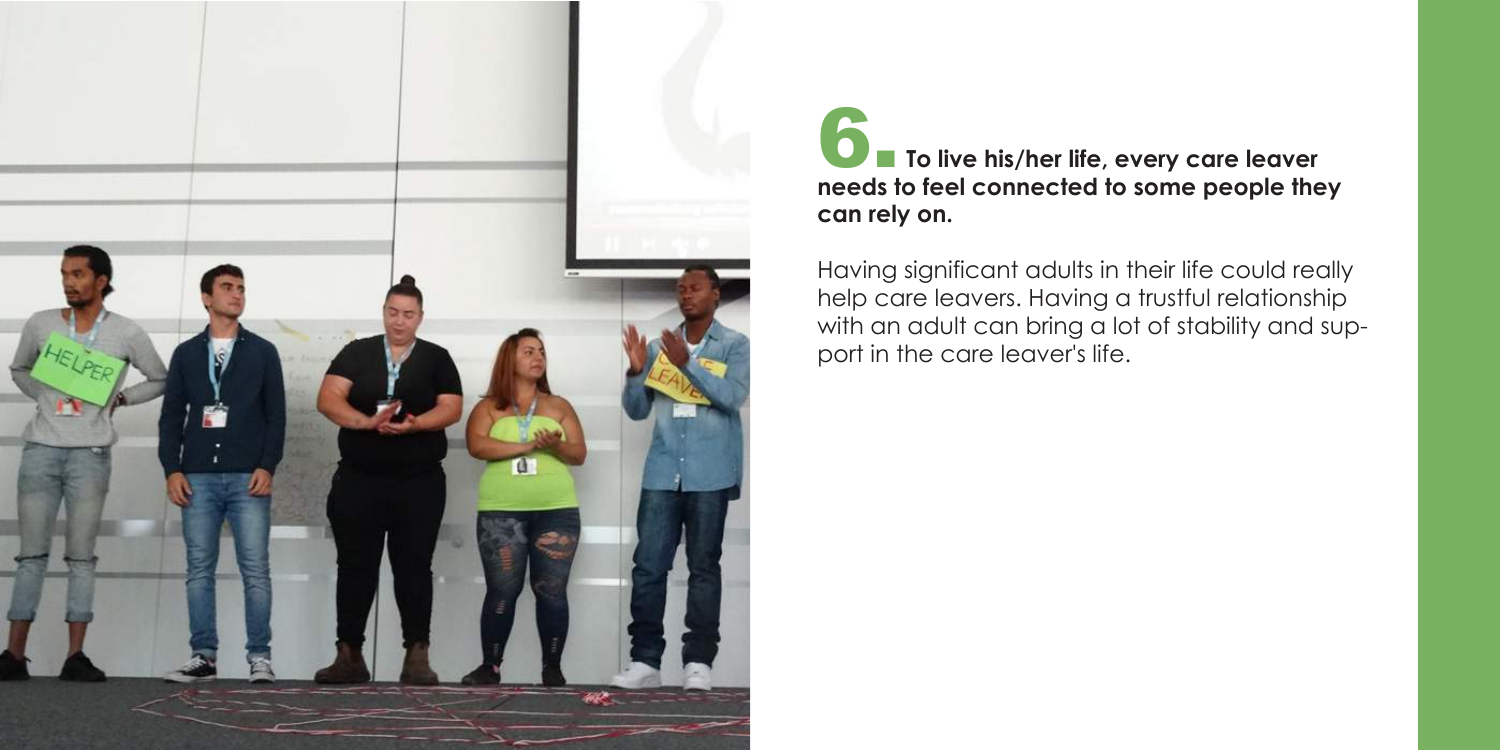# 6. **To live his/her life, every care leaver needs to feel connected to some people they**





Having significant adults in their life could really help care leavers. Having a trustful relationship with an adult can bring a lot of stability and support in the care leaver's life.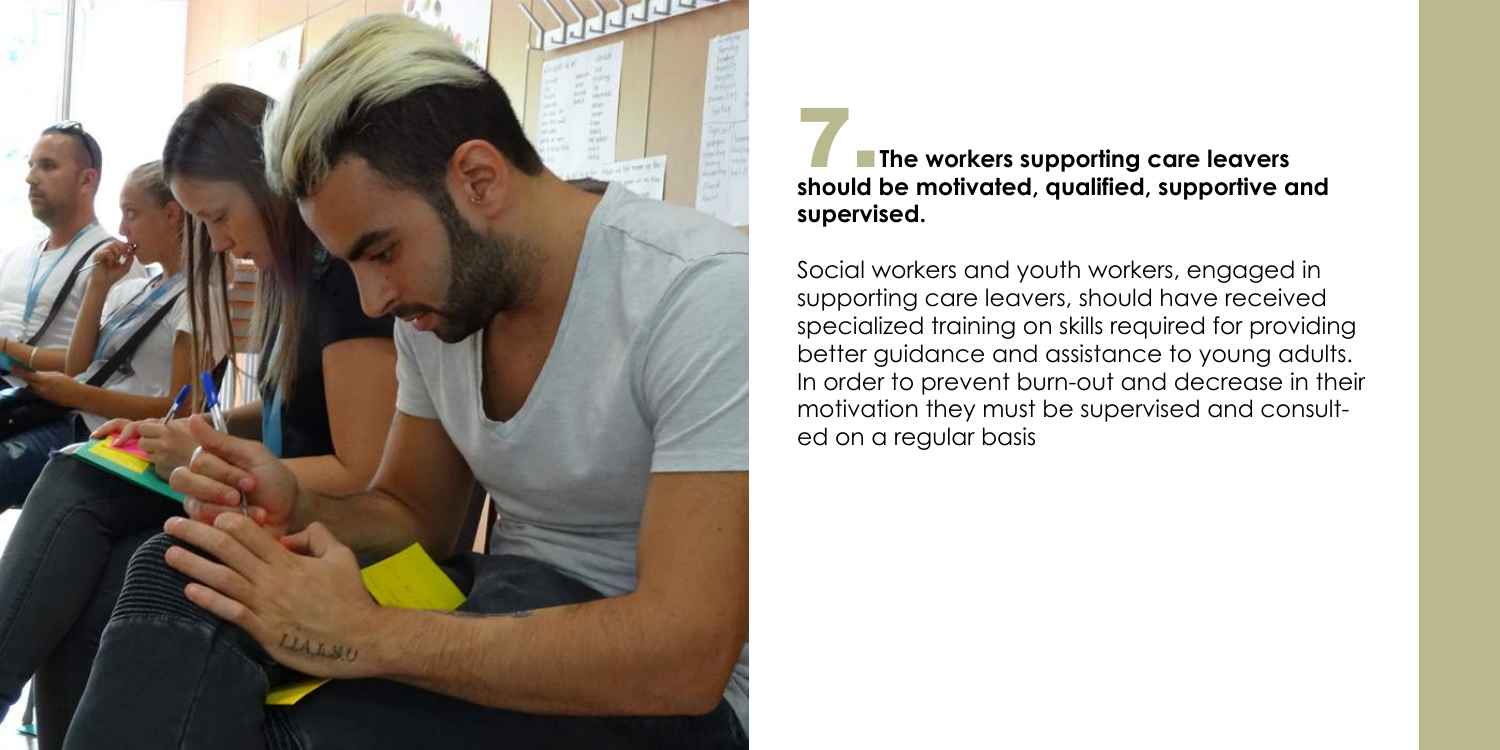### **The workers supporting care leavers should be motivated, qualified, supportive and**



# **supervised.**

Social workers and youth workers, engaged in supporting care leavers, should have received specialized training on skills required for providing better guidance and assistance to young adults. In order to prevent burn-out and decrease in their motivation they must be supervised and consulted on a regular basis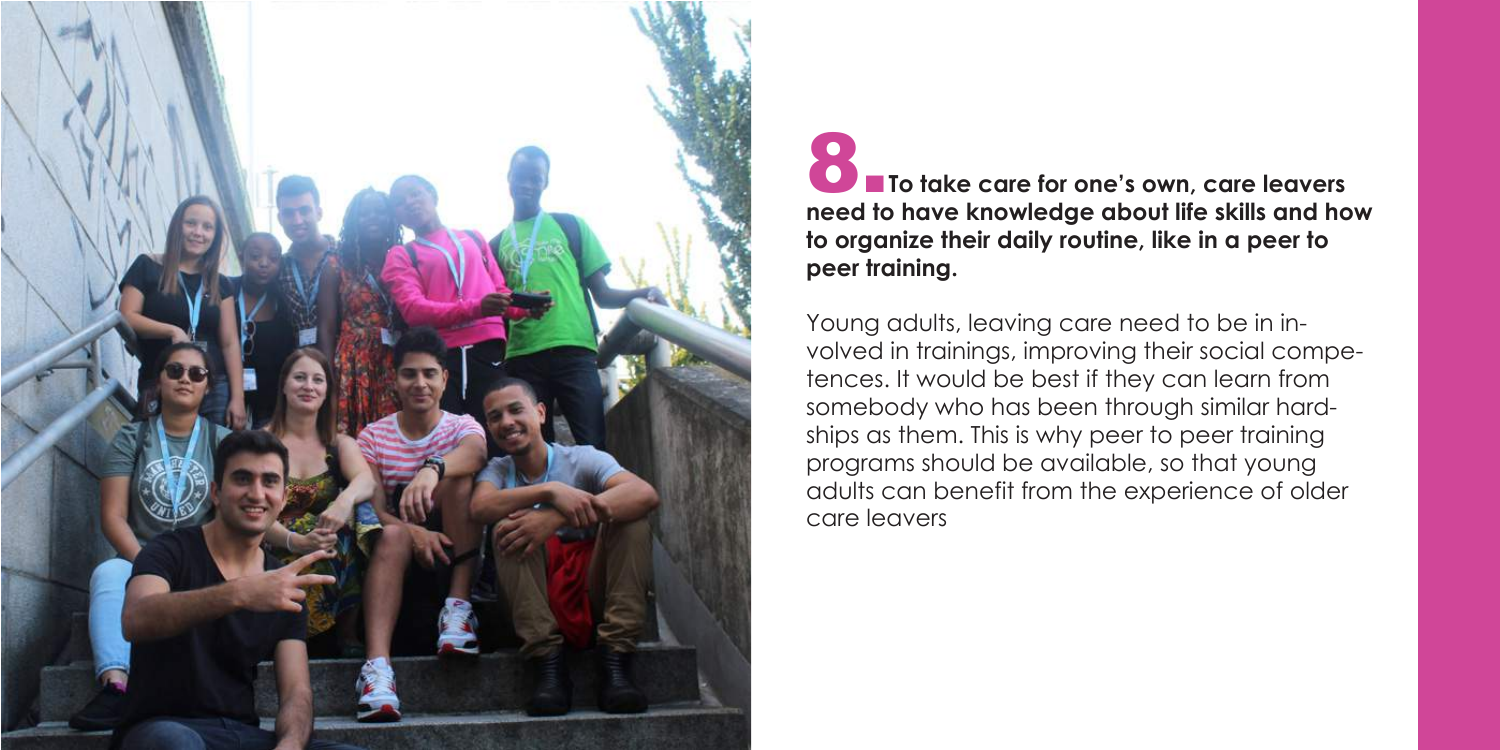### **8. To take care for one's own, care leavers need to have knowledge about life skills and how to organize their daily routine, like in a peer to**



# **peer training.**

Young adults, leaving care need to be in involved in trainings, improving their social competences. It would be best if they can learn from somebody who has been through similar hardships as them. This is why peer to peer training programs should be available, so that young adults can benefit from the experience of older care leavers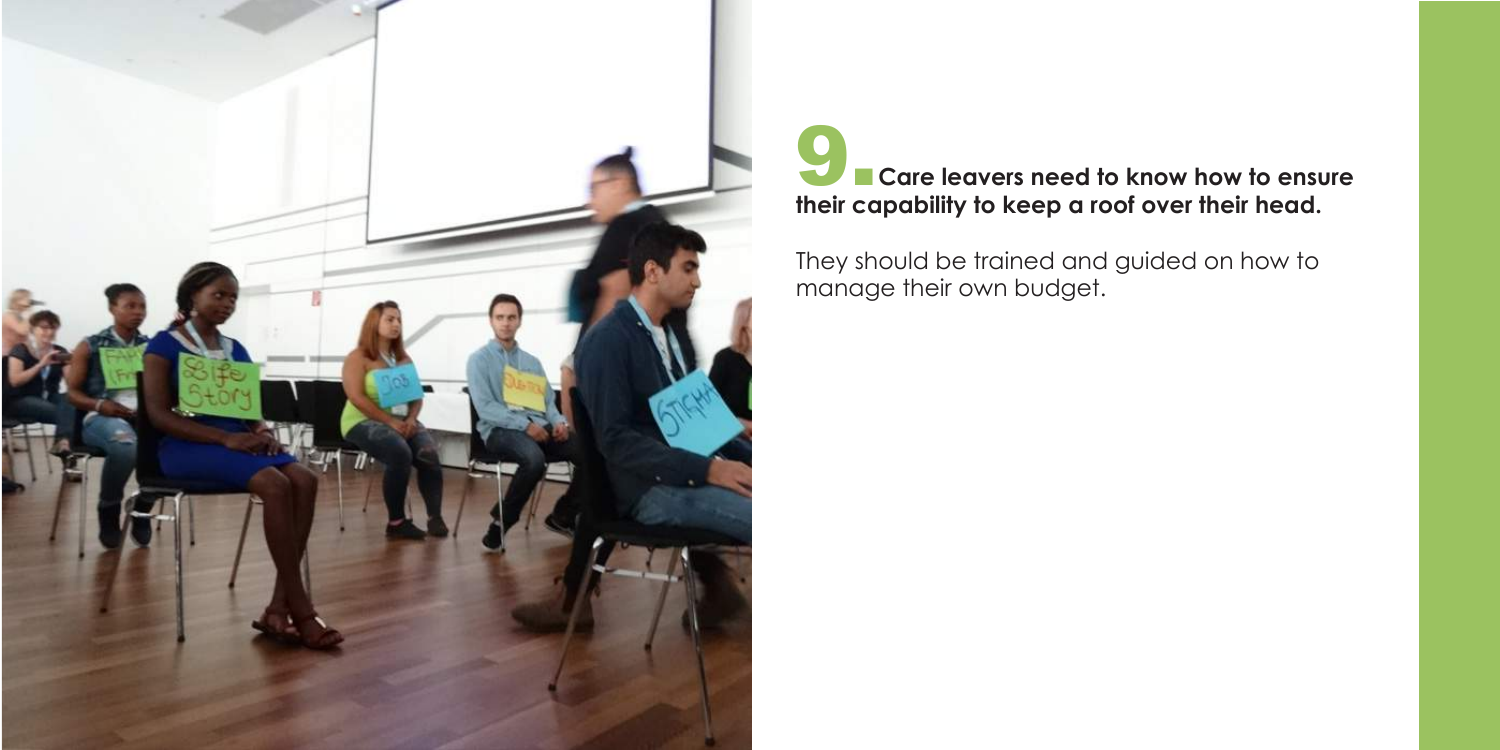![](_page_10_Picture_0.jpeg)

# **Example 2.5 Care leavers need to know how to ensure their capability to keep a roof over their head.**

They should be trained and guided on how to manage their own budget.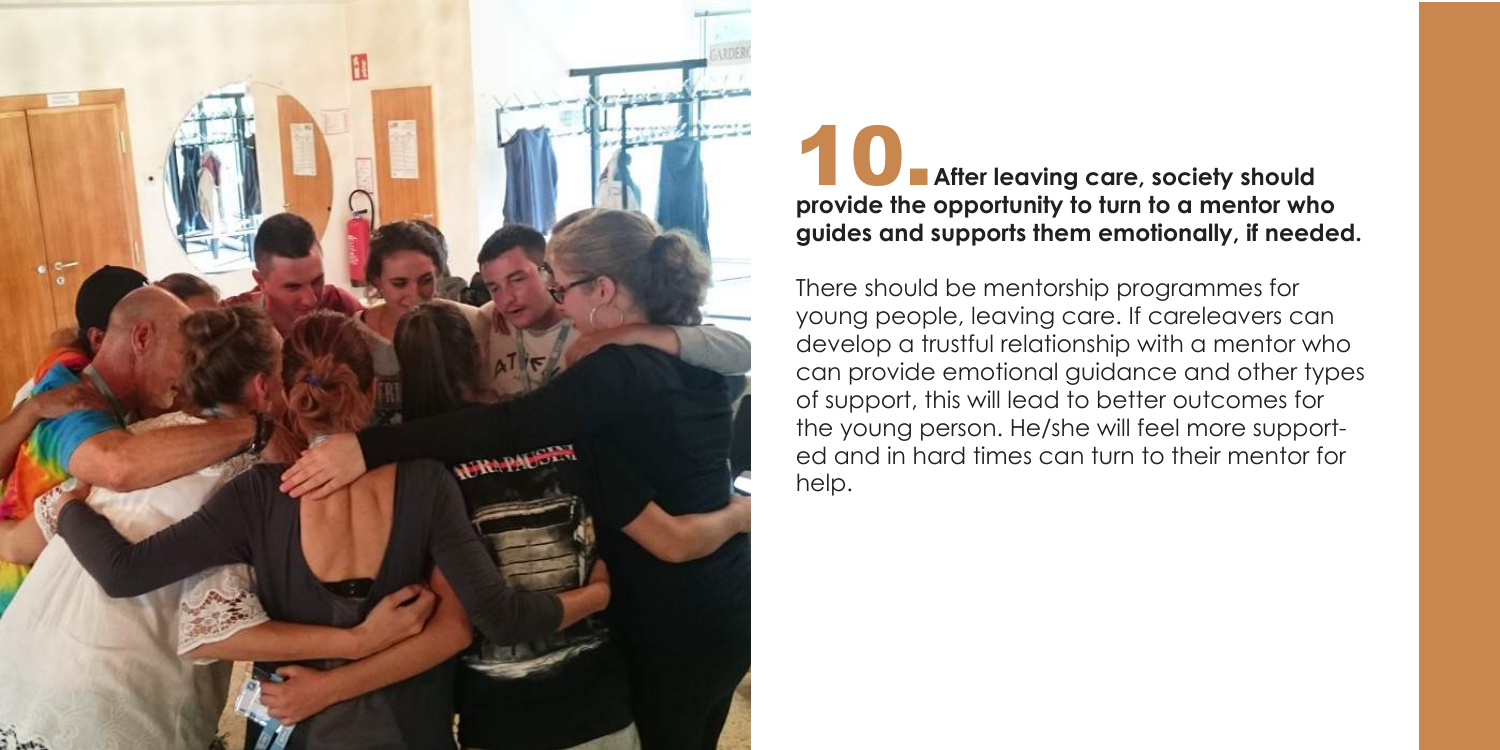![](_page_11_Picture_0.jpeg)

# **10. After leaving care, society should provide the opportunity to turn to a mentor who guides and supports them emotionally, if needed.**

There should be mentorship programmes for young people, leaving care. If careleavers can develop a trustful relationship with a mentor who can provide emotional guidance and other types of support, this will lead to better outcomes for the young person. He/she will feel more supported and in hard times can turn to their mentor for help.